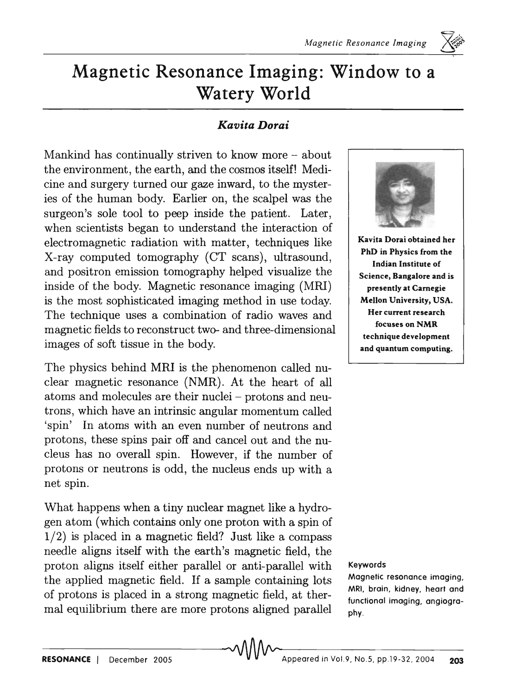

## *Kavita Dorai*

Mankind has continually striven to know more - about the environment, the earth, and the cosmos itself! Medicine and surgery turned our gaze inward, to the mysteries of the human body. Earlier on, the scalpel was the surgeon's sole tool to peep inside the patient. Later, when scientists began to understand the interaction of electromagnetic radiation with matter, techniques like X-ray computed tomography (CT scans), ultrasound, and positron emission tomography helped visualize the inside of the body. Magnetic resonance imaging (MRI) is the most sophisticated imaging method in use today. The technique uses a combination of radio waves and magnetic fields to reconstruct two- and three-dimensional images of soft tissue in the body.

The physics behind MRI is the phenomenon called nuclear magnetic resonance (NMR). At the heart of all atoms and molecules are their nuclei - protons and neutrons, which have an intrinsic angular momentum called 'spin' In atoms with an even number of neutrons and protons, these spins pair off and cancel out and the nucleus has no overall spin. However, if the number of protons or neutrons is odd, the nucleus ends up with a net spin.

What happens when a tiny nuclear magnet like a hydrogen atom (which contains only one proton with a spin of  $1/2$ ) is placed in a magnetic field? Just like a compass needle aligns itself with the earth's magnetic field, the proton aligns itself either parallel or anti-parallel with the applied magnetic field. If a sample containing lots of protons is placed in a strong magnetic field, at thermal equilibrium there are more protons aligned parallel



 $\Longleftrightarrow$ .

PhD in Physics from the Indian Institute of Science, Bangalore and is presently at Carnegie Mellon University, USA. Her current research focuses on NMR technique development and quantum computing.

#### Keywords

Magnetic resonance imaging, MRI, brain, kidney, heart and functional imaging, angiography\_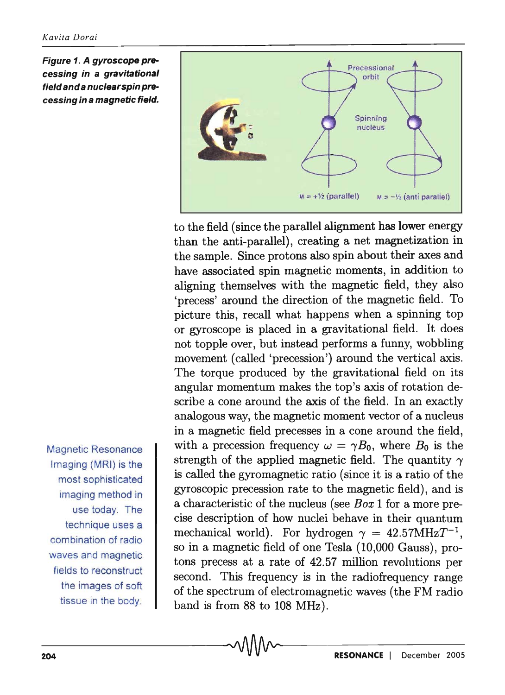Figure 1. A gyroscope precessing in a gravitational field and a nuclear spin precessing in a magnetic field.



to the field (since the parallel alignment has lower energy than the anti-parallel), creating a net magnetization in the sample. Since protons also spin about their axes and have associated spin magnetic moments, in addition to aligning themselves with the magnetic field, they also 'precess' around the direction of the magnetic field. To picture this, recall what happens when a spinning top or gyroscope is placed in a gravitational field. It does not topple over, but instead performs a funny, wobbling movement (called 'precession') around the vertical axis. The torque produced by the gravitational field on its angular momentum makes the top's axis of rotation describe a cone around the axis of the field. In an exactly analogous way, the magnetic moment vector of a nucleus in a magnetic field precesses in a cone around the field, with a precession frequency  $\omega = \gamma B_0$ , where  $B_0$  is the strength of the applied magnetic field. The quantity  $\gamma$ is called the gyromagnetic ratio (since it is a ratio of the gyroscopic precession rate to the magnetic field), and is a characteristic of the nucleus (see *Box* 1 for a more precise description of how nuclei behave in their quantum mechanical world). For hydrogen  $\gamma = 42.57 \text{MHz} T^{-1}$ , so in a magnetic field of one Tesla (10,000 Gauss), protons precess at a rate of 42.57 million revolutions per second. This frequency is in the radiofrequency range of the spectrum of electromagnetic waves (the FM radio band is from 88 to 108 MHz).

Magnetic Resonance Imaging (MRI) is the most sophisticated imaging method in use today. The technique uses a combination of radio waves and magnetic fields to reconstruct the images of soft tissue in the body.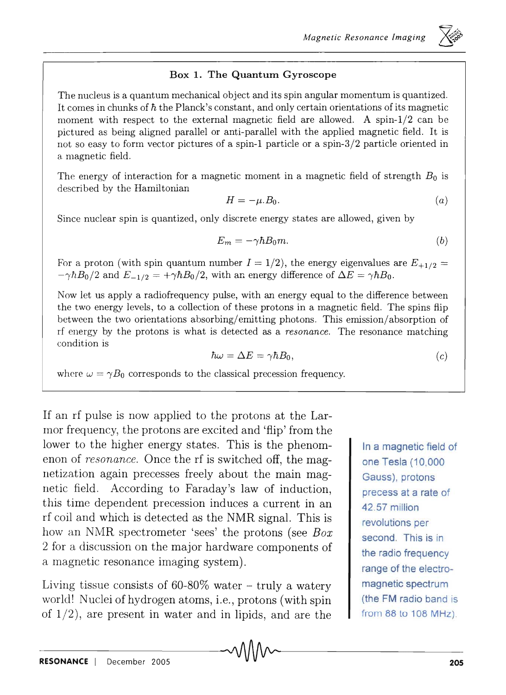### Box 1. The Quantum Gyroscope

The nucleus is a quantum mechanical object and its spin angular momentum is quantized. It comes in chunks of  $\hbar$  the Planck's constant, and only certain orientations of its magnetic moment with respect to the external magnetic field are allowed. A spin- $1/2$  can be pictured as being aligned parallel or anti-parallel with the applied magnetic field. It is not so easy to form vector pictures of a spin-1 particle or a spin-3/2 particle oriented in a magnetic field.

The energy of interaction for a magnetic moment in a magnetic field of strength  $B_0$  is described by the Hamiltonian

$$
H = -\mu.B_0.\tag{a}
$$

Since nuclear spin is quantized, only discrete energy states are allowed, given by

$$
E_m = -\gamma \hbar B_0 m. \tag{b}
$$

For a proton (with spin quantum number  $I = 1/2$ ), the energy eigenvalues are  $E_{+1/2} =$  $-\gamma \hbar B_0/2$  and  $E_{-1/2} = +\gamma \hbar B_0/2$ , with an energy difference of  $\Delta E = \gamma \hbar B_0$ .

Now let us apply a radiofrequency pulse, with an energy equal to the difference between the two energy levels, to a collection of these protons in a magnetic field. The spins flip between the two orientations absorbing/emitting photons. This emission/absorption of rf energy by the protons is what is detected as a *resonance.* The resonance matching condition is

$$
\hbar\omega = \Delta E = \gamma \hbar B_0,\tag{c}
$$

where  $\omega = \gamma B_0$  corresponds to the classical precession frequency.

If an rf pulse is now applied to the protons at the Larmor frequency, the protons are excited and 'flip' from the lower to the higher energy states. This is the phenomenon of *resonance*. Once the rf is switched off, the magnetization again precesses freely about the main magnetic field. According to Faraday's law of induction, this time dependent precession induces a current in an rf coil and which is detected as the NMR signal. This is how an NMR spectrometer 'sees' the protons (see *Box*  2 for a discussion on the major hardware components of a magnetic resonance imaging system).

Living tissue consists of  $60-80\%$  water - truly a watery world! Nuclei of hydrogen atoms, i.e., protons (with spin of  $1/2$ , are present in water and in lipids, and are the

In a magnetic field of one Tesla (10,000 Gauss), protons precess at a rate of 42. 57 million revolutions per second. This is in the radio frequency range of the electromagnetic spectrum (the **FM** radio band is from 88 to 108 MHz).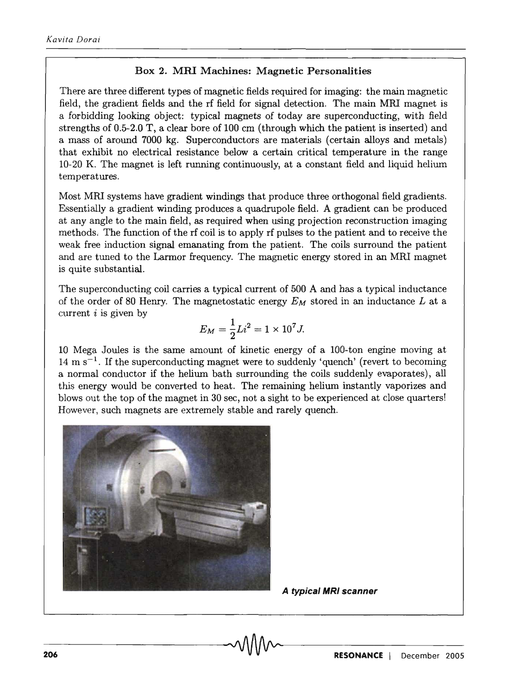#### Box 2. **Mill** Machines: Magnetic Personalities

There are three different types of magnetic fields required for imaging: the main magnetic field, the gradient fields and the rf field for signal detection. The main MRl magnet is a forbidding looking object: typical magnets of today are superconducting, with field strengths of 0.5-2.0 T, a clear bore of 100 cm (through which the patient is inserted) and a mass of around 7000 kg. Superconductors are materials (certain alloys and metals) that exhibit no electrical resistance below a certain critical temperature in the range 10-20 K. The magnet is left running continuously, at a constant field and liquid helium temperatures.

Most MRl systems have gradient windings that produce three orthogonal field gradients. Essentially a gradient winding produces a quadrupole field. A gradient can be produced at any angle to the main field, as required when using projection reconstruction imaging methods, The function of the rf coil is to apply rf pulses to the patient and to receive the weak free induction signal emanating from the patient. The coils surround the patient and are tuned to the Larmor frequency. The magnetic energy stored in an MRI magnet is quite substantial.

The superconducting coil carries a typical current of 500 A and has a typical inductance of the order of 80 Henry. The magnetostatic energy  $E_M$  stored in an inductance  $L$  at a current  $i$  is given by

$$
E_M = \frac{1}{2}Li^2 = 1 \times 10^7 J.
$$

10 Mega JouIes is the same amount of kinetic energy of a 100-ton engine moving at  $14 \text{ m s}^{-1}$ . If the superconducting magnet were to suddenly 'quench' (revert to becoming a normal conductor if the helium bath surrounding the coils suddenly evaporates), all this energy wouId be converted to heat. The remaining helium instantly vaporizes and blows out the top of the magnet in 30 sec, not a sight to be experienced at close quarters! However, such magnets are extremely stable and rarely quench.



**A typical MRI scanner**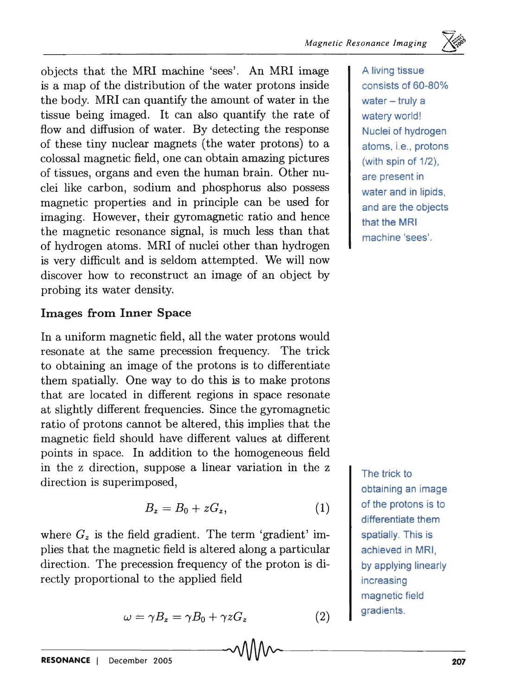objects that the MRI machine 'sees'. An MRI image is a map of the distribution of the water protons inside the body. MRI can quantify the amount of water in the tissue being imaged. It can also quantify the rate of flow and diffusion of water. By detecting the response of these tiny nuclear magnets (the water protons) to a colossal magnetic field, one can obtain amazing pictures of tissues, organs and even the human brain. Other nuclei like carbon, sodium and phosphorus also possess magnetic properties and in principle can be used for imaging. However, their gyromagnetic ratio and hence the magnetic resonance signal, is much less than that of hydrogen atoms. MRI of nuclei other than hydrogen is very difficult and is seldom attempted. We will now discover how to reconstruct an image of an object by probing its water density.

## Images from Inner Space

In a uniform magnetic field, all the water protons would resonate at the same precession frequency. The trick to obtaining an image of the protons is to differentiate them spatially. One way to do this is to make protons that are located in different regions in space resonate at slightly different frequencies. Since the gyromagnetic ratio of protons cannot be altered, this implies that the magnetic field should have different values at different points in space. In addition to the homogeneous field in the z direction, suppose a linear variation in the z direction is superimposed,

$$
B_z = B_0 + zG_z, \tag{1}
$$

where  $G_z$  is the field gradient. The term 'gradient' implies that the magnetic field is altered along a particular direction. The precession frequency of the proton is directly proportional to the applied field

$$
\omega = \gamma B_z = \gamma B_0 + \gamma z G_z \tag{2}
$$

A living tissue consists of 60-80% water  $-$  truly a watery world! Nuclei of hydrogen atoms, i.e., protons (with spin of 1/2), are present in water and in lipids, and are the objects that the MRI machine 'sees'.

The trick to obtaining an image of the protons is to differentiate them spatially. This is achieved in MRI, by applying linearly increasing magnetic field **gradients**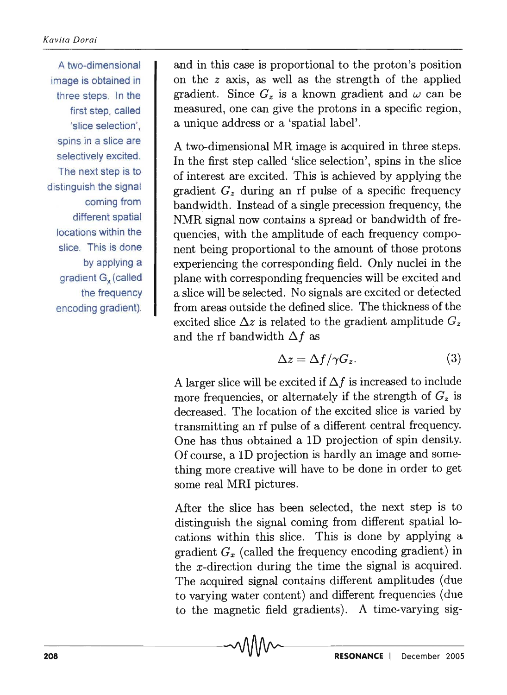A two-dimensional image is obtained in three steps. In the first step, called 'slice selection', spins in a slice are selectively excited. The next step is to distinguish the signal coming from different spatial locations within the slice. This is done by applying a gradient G<sub>x</sub> (called the frequency encoding gradient).

and in this case is proportional to the proton's position on the z axis, as well as the strength of the applied gradient. Since  $G<sub>z</sub>$  is a known gradient and  $\omega$  can be measured, one can give the protons in a specific region, a unique address or a 'spatial label' .

A two-dimensional MR image is acquired in three steps. In the first step called 'slice selection', spins in the slice of interest are excited. This is achieved by applying the gradient  $G_z$  during an rf pulse of a specific frequency bandwidth. Instead of a single precession frequency, the NMR signal now contains a spread or bandwidth of frequencies, with the amplitude of each frequency component being proportional to the amount of those protons experiencing the corresponding field. Only nuclei in the plane with corresponding frequencies will be excited and a slice will be selected. No signals are excited or detected from areas outside the defined slice. The thickness of the excited slice  $\Delta z$  is related to the gradient amplitude  $G_z$ and the rf bandwidth  $\Delta f$  as

$$
\Delta z = \Delta f / \gamma G_z. \tag{3}
$$

A larger slice will be excited if  $\Delta f$  is increased to include more frequencies, or alternately if the strength of  $G_z$  is decreased. The location of the excited slice is varied by transmitting an rf pulse of a different central frequency. One has thus obtained a ID projection of spin density. Of course, a ID projection is hardly an image and something more creative will have to be done in order to get some real MRI pictures.

After the slice has been selected, the next step is to distinguish the signal coming from different spatial locations within this slice. This is done by applying a gradient *Gx* (called the frequency encoding gradient) in the x-direction during the time the signal is acquired. The acquired signal contains different amplitudes (due to varying water content) and different frequencies (due to the magnetic field gradients). A time-varying sig-

-20-8---------------------------~~--------------------------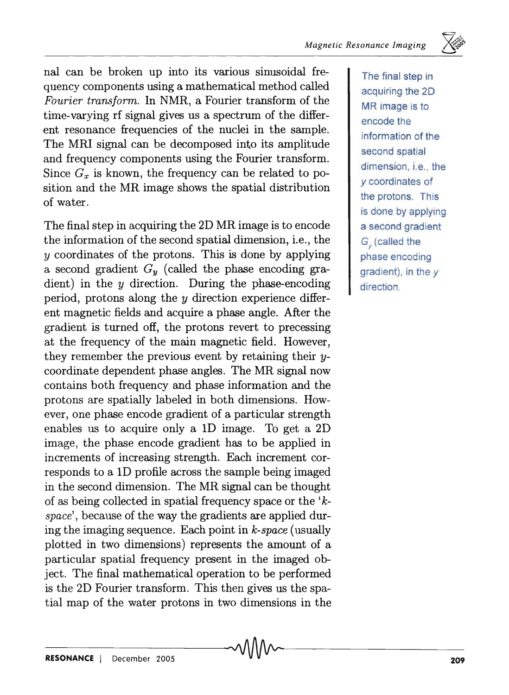nal can be broken up into its various sinusoidal frequency components using a mathematical method called *Fourier transform.* In NMR, a Fourier transform of the time-varying rf signal gives us a spectrum of the different resonance frequencies of the nuclei in the sample. The MRI signal can be decomposed into its amplitude and frequency components using the Fourier transform. Since  $G_x$  is known, the frequency can be related to position and the MR image shows the spatial distribution of water.

The final step in acquiring the 2D MR image is to encode the information of the second spatial dimension, i.e., the *y* coordinates of the protons. This is done by applying a second gradient  $G_y$  (called the phase encoding gradient) in the  $y$  direction. During the phase-encoding period, protons along the *y* direction experience different magnetic fields and acquire a phase angle. After the gradient is turned off, the protons revert to precessing at the frequency of the main magnetic field. However, they remember the previous event by retaining their ycoordinate dependent phase angles. The MR signal now contains both frequency and phase information and the protons are spatially labeled in both dimensions. However, one phase encode gradient of a particular strength enables us to acquire only a ID image. To get a 2D image, the phase encode gradient has to be applied in increments of increasing strength. Each increment corresponds to a ID profile across the sample being imaged in the second dimension. The MR signal can be thought of as being collected in spatial frequency space or the *'kspace',* because of the way the gradients are applied during the imaging sequence. Each point in *k-space* (usually plotted in two dimensions) represents the amount of a particular spatial frequency present in the imaged object. The final mathematical operation to be performed is the 2D Fourier transform. This then gives us the spatial map of the water protons in two dimensions in the

The final step in acquiring the 20 MR image is to encode the information of the second spatial dimension, i.e., the y coordinates of the protons. This is done by applying a second gradient G<sub>S</sub> (called the phase encoding gradient), in the y direction.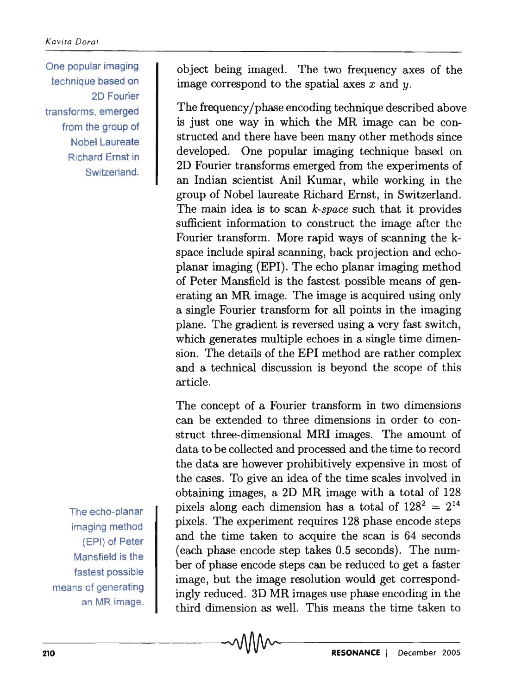One popular imaging technique based on 2D Fourier transforms, emerged from the group of Nobel Laureate Richard Ernst in Switzerland.

The echo-planar imaging method (EPI) of Peter Mansfield is the fastest possible means of generating an MR image. object being imaged. The two frequency axes of the image correspond to the spatial axes *x* and y.

The frequency/phase encoding technique described above is just one way in which the MR image can be constructed and there have been many other methods since developed. One popular imaging technique based on 2D Fourier transforms emerged from the experiments of an Indian scientist Ani! Kumar, while working in the group of Nobel laureate Richard Ernst, in Switzerland. The main idea is to scan *k-space* such that it provides sufficient information to construct the image after the Fourier transform. More rapid ways of scanning the kspace include spiral scanning, back projection and echoplanar imaging (EPI). The echo planar imaging method of Peter Mansfield is the fastest possible means of generating an MR image. The image is acquired using only a single Fourier transform for all points in the imaging plane. The gradient is reversed using a very fast switch, which generates multiple echoes in a single time dimension. The details of the EPI method are rather complex and a technical discussion is beyond the scope of this article.

The concept of a Fourier transform in two dimensions can be extended to three dimensions in order to construct three-dimensional MRI images. The amount of data to be collected and processed and the time to record the data are however prohibitively expensive in most of the cases. To give an idea of the time scales involved in obtaining images, a 2D MR image with a total of 128 pixels along each dimension has a total of  $128^2 = 2^{14}$ pixels. The experiment requires 128 phase encode steps and the time taken to acquire the scan is 64 seconds (each phase encode step takes 0.5 seconds). The number of phase encode steps can be reduced to get a faster image, but the image resolution would get correspondingly reduced. 3D MR images use phase encoding in the third dimension as well. This means the time taken to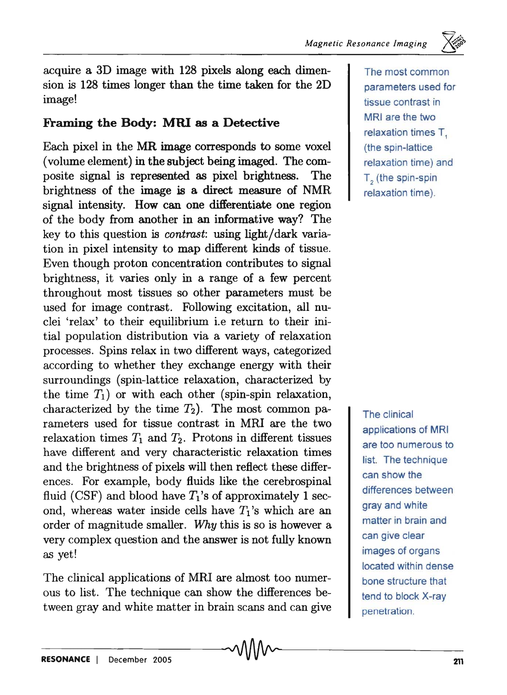acquire a 3D image with 128 pixels along each dimension is 128 times longer than the time taken for the 2D image!

## Framing the Body: MRI as a Detective

Each pixel in the MR image corresponds to some voxel (volume element) in the subject being imaged. The composite signal is represented as pixel brightness. The brightness of the image is a direct measure of NMR signal intensity. How can one differentiate one region of the body from another in an informative way? The key to this question is *contrast:* using light/dark variation in pixel intensity to map different kinds of tissue. Even though proton concentration contributes to signal brightness, it varies only in a range of a few percent throughout most tissues so other parameters must be used for image contrast. Following excitation, all nuclei 'relax' to their equilibrium i.e return to their initial population distribution via a variety of relaxation processes. Spins relax in two different ways, categorized according to whether they exchange energy with their surroundings (spin-lattice relaxation, characterized by the time  $T_1$ ) or with each other (spin-spin relaxation, characterized by the time  $T_2$ ). The most common parameters used for tissue contrast in MRI are the two relaxation times  $T_1$  and  $T_2$ . Protons in different tissues have different and very characteristic relaxation times and the brightness of pixels will then reflect these differences. For example, body fluids like the cerebrospinal fluid (CSF) and blood have  $T_1$ 's of approximately 1 second, whereas water inside cells have *T1's* which are an order of magnitude smaller. *Why* this is so is however a very complex question and the answer is not fully known as yet!

The clinical applications of MRI are almost too numerous to list. The technique can show the differences between gray and white matter in brain scans and can give

The most common parameters used for tissue contrast in MRI are the two relaxation times T. (the spin-lattice relaxation time) and T<sub>c</sub> (the spin-spin relaxation time).

 $\Rightarrow$ 

The clinical applications of MRI are too numerous to list. The technique can show the differences between gray and white matter in brain and can give clear images of organs located within dense bone structure that tend to block X-ray penetration.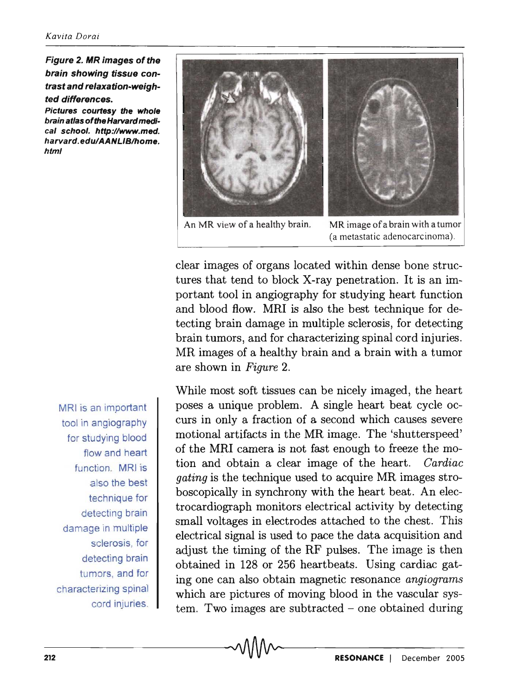Figure 2. MR images of the brain showing tissue contrast and relaxation-weighted differences.

Pictures courtesy the whole brain atlas of the Harvard medical school. http://www.med. harvard.edu/AANLIB/home. html

MRI is an important tool in angiography for studying blood flow and heart function. MRI is also the best technique for detecting brain damage in multiple sclerosis, for detecting brain tumors, and for characterizing spinal cord injuries.



An MR view of a healthy brain. MR image of a brain with a tumor (a metastatic adenocarcinoma).

clear images of organs located within dense bone structures that tend to block X-ray penetration. It is an important tool in angiography for studying heart function and blood flow. MRI is also the best technique for detecting brain damage in multiple sclerosis, for detecting brain tumors, and for characterizing spinal cord injuries. MR images of a healthy brain and a brain with a tumor are shown in *Figure 2.* 

While most soft tissues can be nicely imaged, the heart poses a unique problem. A single heart beat cycle occurs in only a fraction of a second which causes severe motional artifacts in the MR image. The 'shutterspeed' of the MRI camera is not fast enough to freeze the motion and obtain a clear image of the heart. *Cardiac gating* is the technique used to acquire MR images stroboscopically in synchrony with the heart beat. An electrocardiograph monitors electrical activity by detecting small voltages in electrodes attached to the chest. This electrical signal is used to pace the data acquisition and adjust the timing of the RF pulses. The image is then obtained in 128 or 256 heartbeats. Using cardiac gating one can also obtain magnetic resonance *angiograms*  which are pictures of moving blood in the vascular system. Two images are subtracted  $\sim$  one obtained during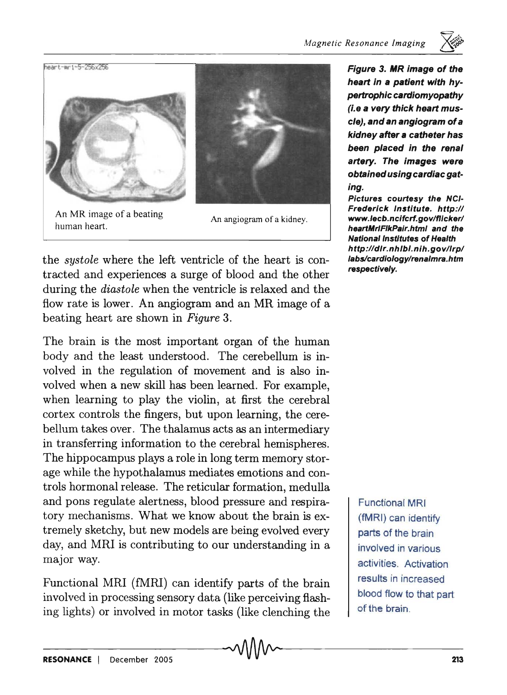

An MR image of a beating human heart.

An angiogram of a kidney.

the *systole* where the left ventricle of the heart is contracted and experiences a surge of blood and the other during the *diastole* when the ventricle is relaxed and the flow rate is lower. An angiogram and an MR image of a beating heart are shown in *Figure* 3.

The brain is the most important organ of the human body and the least understood. The cerebellum is involved in the regulation of movement and is also involved when a new skill has been learned. For example, when learning to play the violin, at first the cerebral cortex controls the fingers, but upon learning, the cerebellum takes over. The thalamus acts as an intermediary in transferring information to the cerebral hemispheres. The hippocampus plays a role in long term memory storage while the hypothalamus mediates emotions and controls hormonal release. The reticular formation, medulla and pons regulate alertness, blood pressure and respiratory mechanisms. What we know about the brain is extremely sketchy, but new models are being evolved every day, and MRI is contributing to our understanding in a major way.

Functional MRI (fMRI) can identify parts of the brain involved in processing sensory data (like perceiving flashing lights) or involved in motor tasks (like clenching the

Figure 3. MR image of the heart in a patient with hypertrophic cardiomyopathy (i.e a very thick heart muscle), and an angiogram of a kidney after a catheter has been placed in the rena' artery. The images were obtained using cardiac gating.

Pictures courtesy the NCI-Frederick Institute. http:// www./ecb.ncifcrf.gov/f1icker/ heartMriFlkPair.html and the **National Institutes of Health** http://dir.nhlbi.nih.govllrp/ labs/cardiology/renalmra.htm respectively.

Functional MRI (fMRI) can identify parts of the brain involved in various activities. Activation results in increased blood flow to that part of the brain.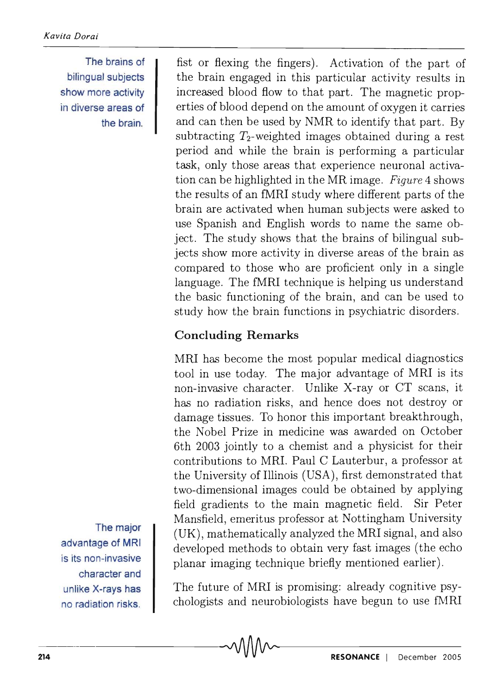The brains of bilingual subjects show more activity in diverse areas of the brain.

fist or flexing the fingers). Activation of the part of the brain engaged in this particular activity results in increased blood flow to that part. The magnetic properties of blood depend on the amount of oxygen it carries and can then be used by NMR to identify that part. By subtracting  $T_2$ -weighted images obtained during a rest period and while the brain is performing a particular task, only those areas that experience neuronal activation can be highlighted in the MR image. *Figure* 4 shows the results of an fMRI study where different parts of the brain are activated when human subjects were asked to use Spanish and English words to name the same object. The study shows that the brains of bilingual subjects show more activity in diverse areas of the brain as compared to those who are proficient only in a single language. The fMRI technique is helping us understand the basic functioning of the brain, and can be used to study how the brain functions in psychiatric disorders.

# Concluding Remarks

MRI has become the most popular medical diagnostics tool in use today. The major advantage of MRI is its non-invasive character. Unlike X-ray or CT scans, it has no radiation risks, and hence does not destroy or damage tissues. To honor this important breakthrough, the Nobel Prize in medicine was awarded on October 6th 2003 jointly to a chemist and a physicist for their contributions to MRI. Paul C Lauterbur, a professor at the University of Illinois (USA), first demonstrated that two-dimensional images could be obtained by applying field gradients to the main magnetic field. Sir Peter Mansfield, emeritus professor at Nottingham University (UK), mathematically analyzed the MRI signal, and also developed methods to obtain very fast images (the echo planar imaging technique briefly mentioned earlier).

The future of MRI is promising: already cognitive psychologists and neurobiologists have begun to use fMRI

The major advantage of MRI is its non-invasive character and unlike X-rays has no radiation risks.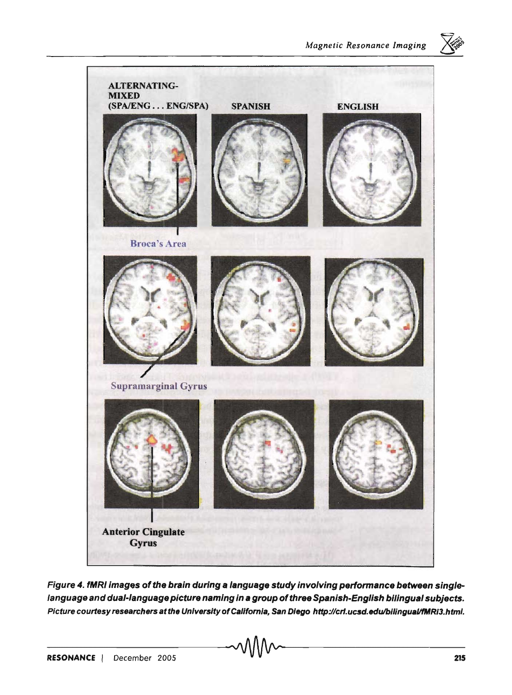



Figure 4. fMRI images of the brain during a language study involving performance between singlelanguage and dual-language picture naming in a group of three Spanish-English bilingual subjects. Picture courtesy researchers at the University of California, San Diego http://crl.ucsd.edu/bilingual/fMRI3.html.